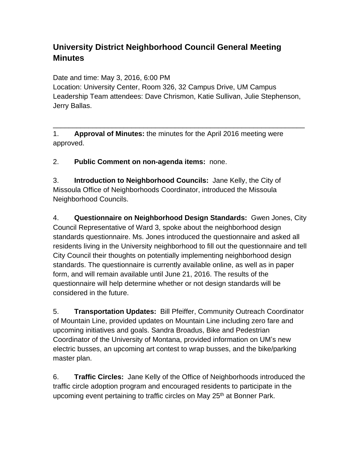## **University District Neighborhood Council General Meeting Minutes**

Date and time: May 3, 2016, 6:00 PM Location: University Center, Room 326, 32 Campus Drive, UM Campus Leadership Team attendees: Dave Chrismon, Katie Sullivan, Julie Stephenson, Jerry Ballas.

\_\_\_\_\_\_\_\_\_\_\_\_\_\_\_\_\_\_\_\_\_\_\_\_\_\_\_\_\_\_\_\_\_\_\_\_\_\_\_\_\_\_\_\_\_\_\_\_\_\_\_\_\_\_\_\_\_\_\_\_\_\_\_\_

1. **Approval of Minutes:** the minutes for the April 2016 meeting were approved.

2. **Public Comment on non-agenda items:** none.

3. **Introduction to Neighborhood Councils:** Jane Kelly, the City of Missoula Office of Neighborhoods Coordinator, introduced the Missoula Neighborhood Councils.

4. **Questionnaire on Neighborhood Design Standards:** Gwen Jones, City Council Representative of Ward 3, spoke about the neighborhood design standards questionnaire. Ms. Jones introduced the questionnaire and asked all residents living in the University neighborhood to fill out the questionnaire and tell City Council their thoughts on potentially implementing neighborhood design standards. The questionnaire is currently available online, as well as in paper form, and will remain available until June 21, 2016. The results of the questionnaire will help determine whether or not design standards will be considered in the future.

5. **Transportation Updates:** Bill Pfeiffer, Community Outreach Coordinator of Mountain Line, provided updates on Mountain Line including zero fare and upcoming initiatives and goals. Sandra Broadus, Bike and Pedestrian Coordinator of the University of Montana, provided information on UM's new electric busses, an upcoming art contest to wrap busses, and the bike/parking master plan.

6. **Traffic Circles:** Jane Kelly of the Office of Neighborhoods introduced the traffic circle adoption program and encouraged residents to participate in the upcoming event pertaining to traffic circles on May 25<sup>th</sup> at Bonner Park.